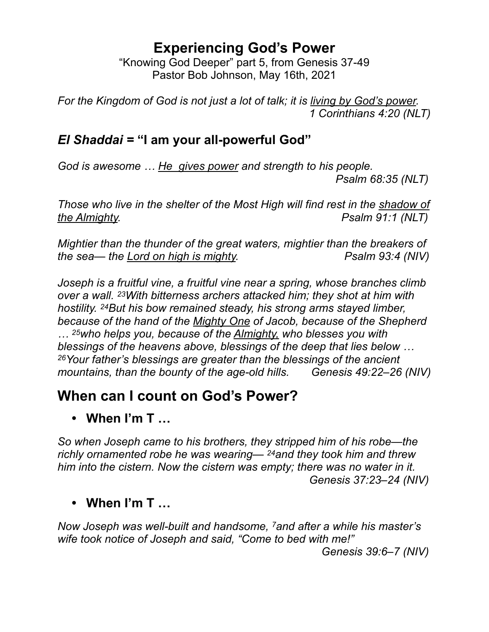#### **Experiencing God's Power**

"Knowing God Deeper" part 5, from Genesis 37-49 Pastor Bob Johnson, May 16th, 2021

*For the Kingdom of God is not just a lot of talk; it is living by God's power. 1 Corinthians 4:20 (NLT)*

#### *El Shaddai =* **"I am your all-powerful God"**

*God is awesome … He gives power and strength to his people.* 

 *Psalm 68:35 (NLT)*

*Those who live in the shelter of the Most High will find rest in the shadow of the Almighty. PSAIM 91:1 (NLT)* 

*Mightier than the thunder of the great waters, mightier than the breakers of the sea— the Lord on high is mighty.* Psalm 93:4 (NIV)

*Joseph is a fruitful vine, a fruitful vine near a spring, whose branches climb over a wall. 23With bitterness archers attacked him; they shot at him with hostility. 24But his bow remained steady, his strong arms stayed limber, because of the hand of the Mighty One of Jacob, because of the Shepherd … 25who helps you, because of the Almighty, who blesses you with blessings of the heavens above, blessings of the deep that lies below … 26Your father's blessings are greater than the blessings of the ancient mountains, than the bounty of the age-old hills. Genesis 49:22–26 (NIV)*

### **When can I count on God's Power?**

**• When I'm T …**

*So when Joseph came to his brothers, they stripped him of his robe—the richly ornamented robe he was wearing— 24and they took him and threw him into the cistern. Now the cistern was empty; there was no water in it. Genesis 37:23–24 (NIV)*

#### **• When I'm T …**

*Now Joseph was well-built and handsome, 7and after a while his master's wife took notice of Joseph and said, "Come to bed with me!"* 

 *Genesis 39:6–7 (NIV)*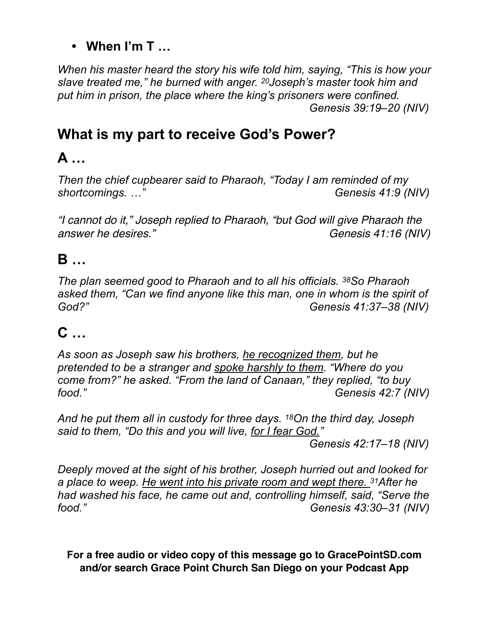#### **• When I'm T …**

*When his master heard the story his wife told him, saying, "This is how your slave treated me," he burned with anger. 20Joseph's master took him and put him in prison, the place where the king's prisoners were confined. Genesis 39:19–20 (NIV)*

## **What is my part to receive God's Power?**

# **A …**

*Then the chief cupbearer said to Pharaoh, "Today I am reminded of my shortcomings. …" Genesis 41:9 (NIV)*

*"I cannot do it," Joseph replied to Pharaoh, "but God will give Pharaoh the answer he desires.*" The *answer he desires.*" Genesis 41:16 (NIV)

### **B …**

*The plan seemed good to Pharaoh and to all his officials. 38So Pharaoh asked them, "Can we find anyone like this man, one in whom is the spirit of God?" Genesis 41:37–38 (NIV)*

# **C …**

*As soon as Joseph saw his brothers, he recognized them, but he pretended to be a stranger and spoke harshly to them. "Where do you come from?" he asked. "From the land of Canaan," they replied, "to buy food." Genesis 42:7 (NIV)*

*And he put them all in custody for three days. 18On the third day, Joseph said to them, "Do this and you will live, for I fear God." Genesis 42:17–18 (NIV)*

*Deeply moved at the sight of his brother, Joseph hurried out and looked for a place to weep. He went into his private room and wept there. 31After he had washed his face, he came out and, controlling himself, said, "Serve the food." Genesis 43:30–31 (NIV)*

**For a free audio or video copy of this message go to GracePointSD.com and/or search Grace Point Church San Diego on your Podcast App**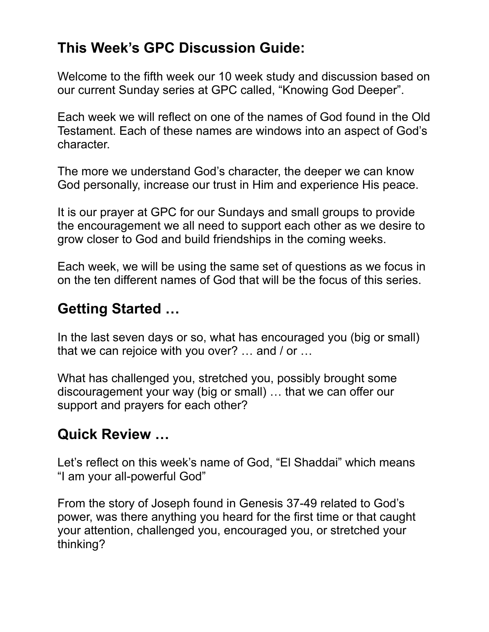## **This Week's GPC Discussion Guide:**

Welcome to the fifth week our 10 week study and discussion based on our current Sunday series at GPC called, "Knowing God Deeper".

Each week we will reflect on one of the names of God found in the Old Testament. Each of these names are windows into an aspect of God's character.

The more we understand God's character, the deeper we can know God personally, increase our trust in Him and experience His peace.

It is our prayer at GPC for our Sundays and small groups to provide the encouragement we all need to support each other as we desire to grow closer to God and build friendships in the coming weeks.

Each week, we will be using the same set of questions as we focus in on the ten different names of God that will be the focus of this series.

#### **Getting Started …**

In the last seven days or so, what has encouraged you (big or small) that we can rejoice with you over? … and / or …

What has challenged you, stretched you, possibly brought some discouragement your way (big or small) … that we can offer our support and prayers for each other?

### **Quick Review …**

Let's reflect on this week's name of God, "El Shaddai" which means "I am your all-powerful God"

From the story of Joseph found in Genesis 37-49 related to God's power, was there anything you heard for the first time or that caught your attention, challenged you, encouraged you, or stretched your thinking?